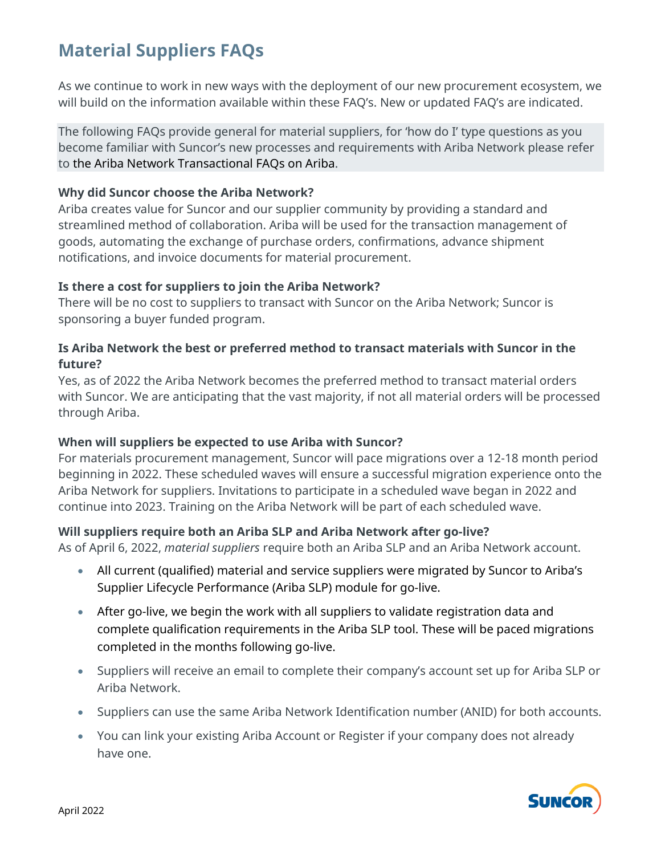# **Material Suppliers FAQs**

As we continue to work in new ways with the deployment of our new procurement ecosystem, we will build on the information available within these FAQ's. New or updated FAQ's are indicated.

The following FAQs provide general for material suppliers, for 'how do I' type questions as you become familiar with Suncor's new processes and requirements with Ariba Network please refer to the Ariba Network Transactional FAQs on Ariba.

### **Why did Suncor choose the Ariba Network?**

Ariba creates value for Suncor and our supplier community by providing a standard and streamlined method of collaboration. Ariba will be used for the transaction management of goods, automating the exchange of purchase orders, confirmations, advance shipment notifications, and invoice documents for material procurement.

### **Is there a cost for suppliers to join the Ariba Network?**

There will be no cost to suppliers to transact with Suncor on the Ariba Network; Suncor is sponsoring a buyer funded program.

## **Is Ariba Network the best or preferred method to transact materials with Suncor in the future?**

Yes, as of 2022 the Ariba Network becomes the preferred method to transact material orders with Suncor. We are anticipating that the vast majority, if not all material orders will be processed through Ariba.

# **When will suppliers be expected to use Ariba with Suncor?**

For materials procurement management, Suncor will pace migrations over a 12-18 month period beginning in 2022. These scheduled waves will ensure a successful migration experience onto the Ariba Network for suppliers. Invitations to participate in a scheduled wave began in 2022 and continue into 2023. Training on the Ariba Network will be part of each scheduled wave.

# **Will suppliers require both an Ariba SLP and Ariba Network after go-live?**

As of April 6, 2022, *material suppliers* require both an Ariba SLP and an Ariba Network account.

- All current (qualified) material and service suppliers were migrated by Suncor to Ariba's Supplier Lifecycle Performance (Ariba SLP) module for go-live.
- After go-live, we begin the work with all suppliers to validate registration data and complete qualification requirements in the Ariba SLP tool. These will be paced migrations completed in the months following go-live.
- Suppliers will receive an email to complete their company's account set up for Ariba SLP or Ariba Network.
- Suppliers can use the same Ariba Network Identification number (ANID) for both accounts.
- You can link your existing Ariba Account or Register if your company does not already have one.

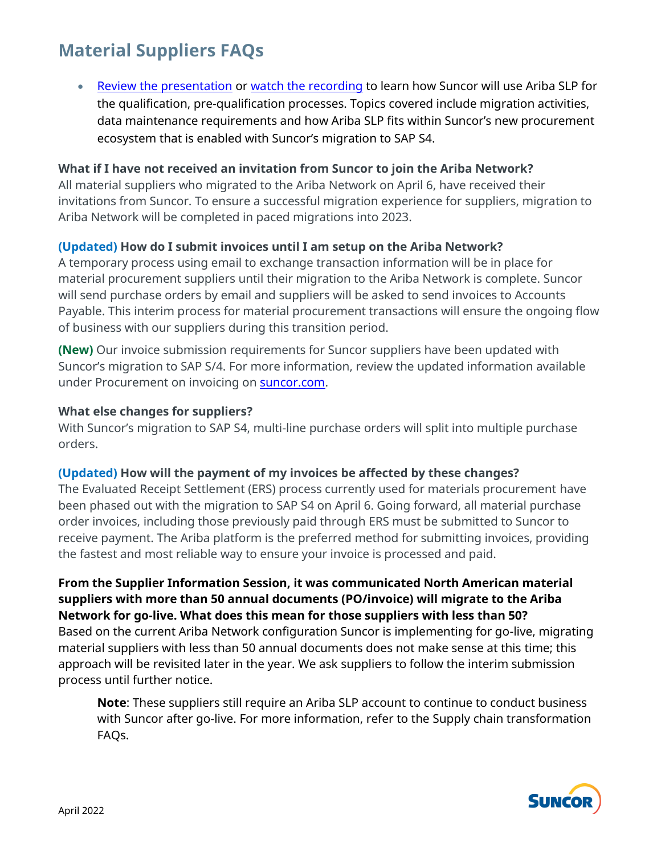# **Material Suppliers FAQs**

• [Review the presentation](https://sustainability-prd-cdn.suncor.com/-/media/project/suncor/files/northern-lights-sustainment/ariba-sap/ariba-slp-suncor-info-session-en.pdf?la=en&modified=20220329) or [watch the recording](https://vimeo.com/691677968/0ec2f141f1) to learn how Suncor will use Ariba SLP for the qualification, pre-qualification processes. Topics covered include migration activities, data maintenance requirements and how Ariba SLP fits within Suncor's new procurement ecosystem that is enabled with Suncor's migration to SAP S4.

#### **What if I have not received an invitation from Suncor to join the Ariba Network?**

All material suppliers who migrated to the Ariba Network on April 6, have received their invitations from Suncor. To ensure a successful migration experience for suppliers, migration to Ariba Network will be completed in paced migrations into 2023.

# **(Updated) How do I submit invoices until I am setup on the Ariba Network?**

A temporary process using email to exchange transaction information will be in place for material procurement suppliers until their migration to the Ariba Network is complete. Suncor will send purchase orders by email and suppliers will be asked to send invoices to Accounts Payable. This interim process for material procurement transactions will ensure the ongoing flow of business with our suppliers during this transition period.

**(New)** Our invoice submission requirements for Suncor suppliers have been updated with Suncor's migration to SAP S/4. For more information, review the updated information available under Procurement on invoicing on **suncor.com**.

#### **What else changes for suppliers?**

With Suncor's migration to SAP S4, multi-line purchase orders will split into multiple purchase orders.

#### **(Updated) How will the payment of my invoices be affected by these changes?**

The Evaluated Receipt Settlement (ERS) process currently used for materials procurement have been phased out with the migration to SAP S4 on April 6. Going forward, all material purchase order invoices, including those previously paid through ERS must be submitted to Suncor to receive payment. The Ariba platform is the preferred method for submitting invoices, providing the fastest and most reliable way to ensure your invoice is processed and paid.

**From the Supplier Information Session, it was communicated North American material suppliers with more than 50 annual documents (PO/invoice) will migrate to the Ariba Network for go-live. What does this mean for those suppliers with less than 50?** Based on the current Ariba Network configuration Suncor is implementing for go-live, migrating material suppliers with less than 50 annual documents does not make sense at this time; this approach will be revisited later in the year. We ask suppliers to follow the interim submission process until further notice.

**Note**: These suppliers still require an Ariba SLP account to continue to conduct business with Suncor after go-live. For more information, refer to the Supply chain transformation FAQs.